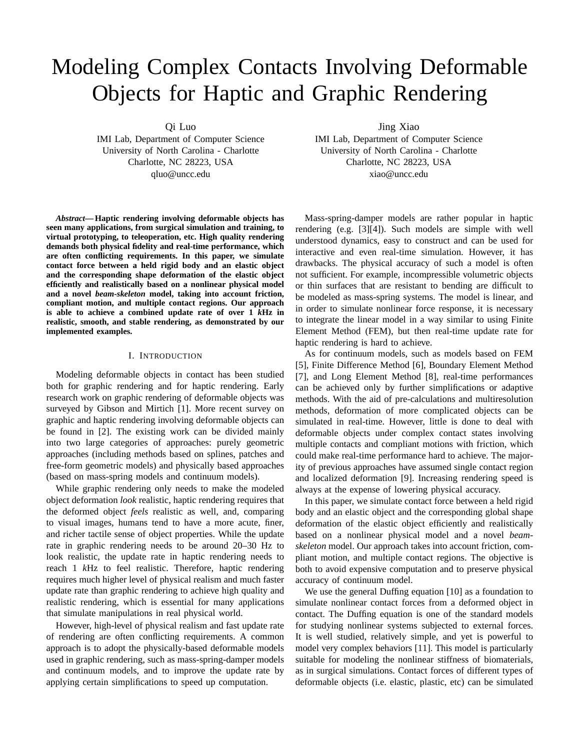# Modeling Complex Contacts Involving Deformable Objects for Haptic and Graphic Rendering

Qi Luo

IMI Lab, Department of Computer Science University of North Carolina - Charlotte Charlotte, NC 28223, USA qluo@uncc.edu

*Abstract***— Haptic rendering involving deformable objects has seen many applications, from surgical simulation and training, to virtual prototyping, to teleoperation, etc. High quality rendering demands both physical fidelity and real-time performance, which are often conflicting requirements. In this paper, we simulate contact force between a held rigid body and an elastic object and the corresponding shape deformation of the elastic object efficiently and realistically based on a nonlinear physical model and a novel** *beam-skeleton* **model, taking into account friction, compliant motion, and multiple contact regions. Our approach is able to achieve a combined update rate of over 1** *k***Hz in realistic, smooth, and stable rendering, as demonstrated by our implemented examples.**

## I. INTRODUCTION

Modeling deformable objects in contact has been studied both for graphic rendering and for haptic rendering. Early research work on graphic rendering of deformable objects was surveyed by Gibson and Mirtich [1]. More recent survey on graphic and haptic rendering involving deformable objects can be found in [2]. The existing work can be divided mainly into two large categories of approaches: purely geometric approaches (including methods based on splines, patches and free-form geometric models) and physically based approaches (based on mass-spring models and continuum models).

While graphic rendering only needs to make the modeled object deformation *look* realistic, haptic rendering requires that the deformed object *feels* realistic as well, and, comparing to visual images, humans tend to have a more acute, finer, and richer tactile sense of object properties. While the update rate in graphic rendering needs to be around 20–30 Hz to look realistic, the update rate in haptic rendering needs to reach 1 *k*Hz to feel realistic. Therefore, haptic rendering requires much higher level of physical realism and much faster update rate than graphic rendering to achieve high quality and realistic rendering, which is essential for many applications that simulate manipulations in real physical world.

However, high-level of physical realism and fast update rate of rendering are often conflicting requirements. A common approach is to adopt the physically-based deformable models used in graphic rendering, such as mass-spring-damper models and continuum models, and to improve the update rate by applying certain simplifications to speed up computation.

Jing Xiao

IMI Lab, Department of Computer Science University of North Carolina - Charlotte Charlotte, NC 28223, USA xiao@uncc.edu

Mass-spring-damper models are rather popular in haptic rendering (e.g. [3][4]). Such models are simple with well understood dynamics, easy to construct and can be used for interactive and even real-time simulation. However, it has drawbacks. The physical accuracy of such a model is often not sufficient. For example, incompressible volumetric objects or thin surfaces that are resistant to bending are difficult to be modeled as mass-spring systems. The model is linear, and in order to simulate nonlinear force response, it is necessary to integrate the linear model in a way similar to using Finite Element Method (FEM), but then real-time update rate for haptic rendering is hard to achieve.

As for continuum models, such as models based on FEM [5], Finite Difference Method [6], Boundary Element Method [7], and Long Element Method [8], real-time performances can be achieved only by further simplifications or adaptive methods. With the aid of pre-calculations and multiresolution methods, deformation of more complicated objects can be simulated in real-time. However, little is done to deal with deformable objects under complex contact states involving multiple contacts and compliant motions with friction, which could make real-time performance hard to achieve. The majority of previous approaches have assumed single contact region and localized deformation [9]. Increasing rendering speed is always at the expense of lowering physical accuracy.

In this paper, we simulate contact force between a held rigid body and an elastic object and the corresponding global shape deformation of the elastic object efficiently and realistically based on a nonlinear physical model and a novel *beamskeleton* model. Our approach takes into account friction, compliant motion, and multiple contact regions. The objective is both to avoid expensive computation and to preserve physical accuracy of continuum model.

We use the general Duffing equation [10] as a foundation to simulate nonlinear contact forces from a deformed object in contact. The Duffing equation is one of the standard models for studying nonlinear systems subjected to external forces. It is well studied, relatively simple, and yet is powerful to model very complex behaviors [11]. This model is particularly suitable for modeling the nonlinear stiffness of biomaterials, as in surgical simulations. Contact forces of different types of deformable objects (i.e. elastic, plastic, etc) can be simulated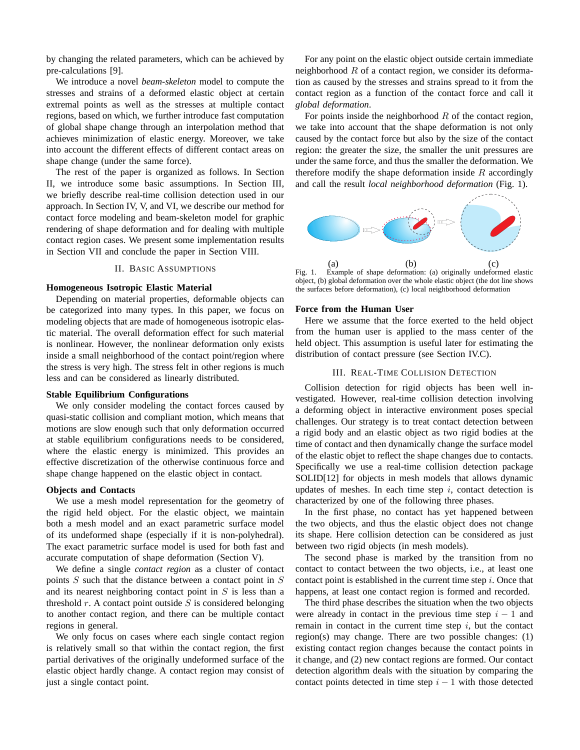by changing the related parameters, which can be achieved by pre-calculations [9].

We introduce a novel *beam-skeleton* model to compute the stresses and strains of a deformed elastic object at certain extremal points as well as the stresses at multiple contact regions, based on which, we further introduce fast computation of global shape change through an interpolation method that achieves minimization of elastic energy. Moreover, we take into account the different effects of different contact areas on shape change (under the same force).

The rest of the paper is organized as follows. In Section II, we introduce some basic assumptions. In Section III, we briefly describe real-time collision detection used in our approach. In Section IV, V, and VI, we describe our method for contact force modeling and beam-skeleton model for graphic rendering of shape deformation and for dealing with multiple contact region cases. We present some implementation results in Section VII and conclude the paper in Section VIII.

## II. BASIC ASSUMPTIONS

## **Homogeneous Isotropic Elastic Material**

Depending on material properties, deformable objects can be categorized into many types. In this paper, we focus on modeling objects that are made of homogeneous isotropic elastic material. The overall deformation effect for such material is nonlinear. However, the nonlinear deformation only exists inside a small neighborhood of the contact point/region where the stress is very high. The stress felt in other regions is much less and can be considered as linearly distributed.

## **Stable Equilibrium Configurations**

We only consider modeling the contact forces caused by quasi-static collision and compliant motion, which means that motions are slow enough such that only deformation occurred at stable equilibrium configurations needs to be considered, where the elastic energy is minimized. This provides an effective discretization of the otherwise continuous force and shape change happened on the elastic object in contact.

## **Objects and Contacts**

We use a mesh model representation for the geometry of the rigid held object. For the elastic object, we maintain both a mesh model and an exact parametric surface model of its undeformed shape (especially if it is non-polyhedral). The exact parametric surface model is used for both fast and accurate computation of shape deformation (Section V).

We define a single *contact region* as a cluster of contact points  $S$  such that the distance between a contact point in  $S$ and its nearest neighboring contact point in  $S$  is less than a threshold  $r$ . A contact point outside  $S$  is considered belonging to another contact region, and there can be multiple contact regions in general.

We only focus on cases where each single contact region is relatively small so that within the contact region, the first partial derivatives of the originally undeformed surface of the elastic object hardly change. A contact region may consist of just a single contact point.

For any point on the elastic object outside certain immediate neighborhood  $R$  of a contact region, we consider its deformation as caused by the stresses and strains spread to it from the contact region as a function of the contact force and call it *global deformation*.

For points inside the neighborhood  $R$  of the contact region, we take into account that the shape deformation is not only caused by the contact force but also by the size of the contact region: the greater the size, the smaller the unit pressures are under the same force, and thus the smaller the deformation. We therefore modify the shape deformation inside  $R$  accordingly and call the result *local neighborhood deformation* (Fig. 1).



Fig. 1. Example of shape deformation: (a) originally undeformed elastic object, (b) global deformation over the whole elastic object (the dot line shows the surfaces before deformation), (c) local neighborhood deformation

## **Force from the Human User**

Here we assume that the force exerted to the held object from the human user is applied to the mass center of the held object. This assumption is useful later for estimating the distribution of contact pressure (see Section IV.C).

## III. REAL-TIME COLLISION DETECTION

Collision detection for rigid objects has been well investigated. However, real-time collision detection involving a deforming object in interactive environment poses special challenges. Our strategy is to treat contact detection between a rigid body and an elastic object as two rigid bodies at the time of contact and then dynamically change the surface model of the elastic objet to reflect the shape changes due to contacts. Specifically we use a real-time collision detection package SOLID[12] for objects in mesh models that allows dynamic updates of meshes. In each time step  $i$ , contact detection is characterized by one of the following three phases.

In the first phase, no contact has yet happened between the two objects, and thus the elastic object does not change its shape. Here collision detection can be considered as just between two rigid objects (in mesh models).

The second phase is marked by the transition from no contact to contact between the two objects, i.e., at least one contact point is established in the current time step  $i$ . Once that happens, at least one contact region is formed and recorded.

The third phase describes the situation when the two objects were already in contact in the previous time step  $i - 1$  and remain in contact in the current time step  $i$ , but the contact region(s) may change. There are two possible changes: (1) existing contact region changes because the contact points in it change, and (2) new contact regions are formed. Our contact detection algorithm deals with the situation by comparing the contact points detected in time step  $i - 1$  with those detected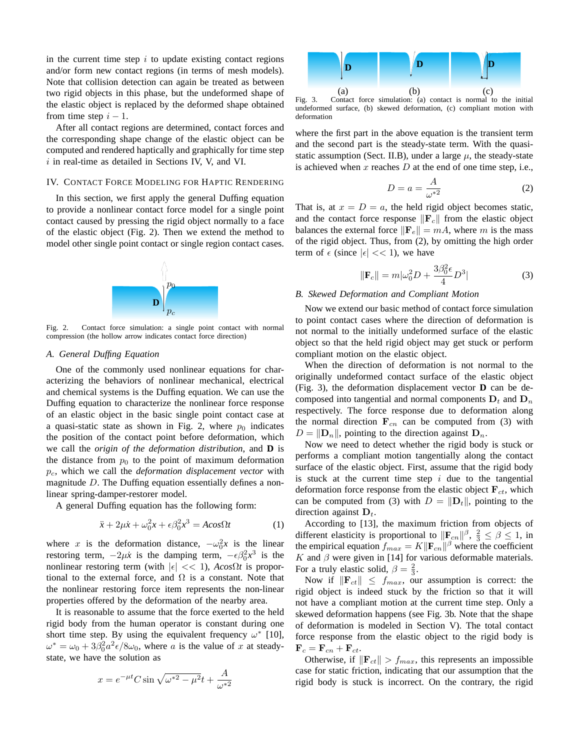in the current time step  $i$  to update existing contact regions and/or form new contact regions (in terms of mesh models). Note that collision detection can again be treated as between two rigid objects in this phase, but the undeformed shape of the elastic object is replaced by the deformed shape obtained from time step  $i - 1$ .

After all contact regions are determined, contact forces and the corresponding shape change of the elastic object can be computed and rendered haptically and graphically for time step  $i$  in real-time as detailed in Sections IV, V, and VI.

## IV. CONTACT FORCE MODELING FOR HAPTIC RENDERING

In this section, we first apply the general Duffing equation to provide a nonlinear contact force model for a single point contact caused by pressing the rigid object normally to a face of the elastic object (Fig. 2). Then we extend the method to model other single point contact or single region contact cases.



Fig. 2. Contact force simulation: a single point contact with normal compression (the hollow arrow indicates contact force direction)

## *A. General Duffing Equation*

One of the commonly used nonlinear equations for characterizing the behaviors of nonlinear mechanical, electrical and chemical systems is the Duffing equation. We can use the Duffing equation to characterize the nonlinear force response of an elastic object in the basic single point contact case at a quasi-static state as shown in Fig. 2, where  $p_0$  indicates the position of the contact point before deformation, which we call the *origin of the deformation distribution*, and **D** is the distance from  $p_0$  to the point of maximum deformation pc, which we call the *deformation displacement vector* with magnitude D. The Duffing equation essentially defines a nonlinear spring-damper-restorer model.

A general Duffing equation has the following form:

$$
\ddot{x} + 2\mu \dot{x} + \omega_0^2 x + \epsilon \beta_0^2 x^3 = A \cos \Omega t \tag{1}
$$

where x is the deformation distance,  $-\omega_0^2 x$  is the linear restoring term,  $-2\mu \dot{x}$  is the damping term,  $-\epsilon \beta_0^2 x^3$  is the nonlinear restoring term (with  $|\epsilon| \ll 1$ ),  $A\cos\Omega t$  is proportional to the external force, and  $\Omega$  is a constant. Note that the nonlinear restoring force item represents the non-linear properties offered by the deformation of the nearby area.

It is reasonable to assume that the force exerted to the held rigid body from the human operator is constant during one short time step. By using the equivalent frequency  $\omega^*$  [10],  $\omega^* = \omega_0 + 3\beta_0^2 a^2 \epsilon / 8\omega_0$ , where a is the value of x at steadystate, we have the solution as

$$
x = e^{-\mu t} C \sin \sqrt{\omega^{*2} - \mu^2} t + \frac{A}{\omega^{*2}}
$$



Fig. 3. Contact force simulation: (a) contact is normal to the initial undeformed surface, (b) skewed deformation, (c) compliant motion with deformation

where the first part in the above equation is the transient term and the second part is the steady-state term. With the quasistatic assumption (Sect. II.B), under a large  $\mu$ , the steady-state is achieved when  $x$  reaches  $D$  at the end of one time step, i.e.,

$$
D = a = \frac{A}{\omega^*^2} \tag{2}
$$

That is, at  $x = D = a$ , the held rigid object becomes static, and the contact force response  $\|\mathbf{F}_c\|$  from the elastic object balances the external force  $\|\mathbf{F}_e\| = mA$ , where m is the mass of the rigid object. Thus, from (2), by omitting the high order term of  $\epsilon$  (since  $|\epsilon| \ll 1$ ), we have

$$
\|\mathbf{F}_c\| = m|\omega_0^2 D + \frac{3\beta_0^2 \epsilon}{4} D^3|
$$
 (3)

#### *B. Skewed Deformation and Compliant Motion*

Now we extend our basic method of contact force simulation to point contact cases where the direction of deformation is not normal to the initially undeformed surface of the elastic object so that the held rigid object may get stuck or perform compliant motion on the elastic object.

When the direction of deformation is not normal to the originally undeformed contact surface of the elastic object (Fig. 3), the deformation displacement vector **D** can be decomposed into tangential and normal components  $D_t$  and  $D_n$ respectively. The force response due to deformation along the normal direction  $\mathbf{F}_{cn}$  can be computed from (3) with  $D = ||\mathbf{D}_n||$ , pointing to the direction against  $\mathbf{D}_n$ .

Now we need to detect whether the rigid body is stuck or performs a compliant motion tangentially along the contact surface of the elastic object. First, assume that the rigid body is stuck at the current time step  $i$  due to the tangential deformation force response from the elastic object  $\mathbf{F}_{ct}$ , which can be computed from (3) with  $D = ||\mathbf{D}_t||$ , pointing to the direction against  $D_t$ .

According to [13], the maximum friction from objects of different elasticity is proportional to  $\|\mathbf{F}_{cn}\|^{\beta}$ ,  $\frac{2}{3} \leq \beta \leq 1$ , in the empirical equation  $f_{max} = K \|\mathbf{F}_{cn}\|^{\beta}$  where the coefficient K and  $\beta$  were given in [14] for various deformable materials. For a truly elastic solid,  $\beta = \frac{2}{3}$ .

Now if  $\|\mathbf{F}_{ct}\| \leq f_{max}$ , our assumption is correct: the rigid object is indeed stuck by the friction so that it will not have a compliant motion at the current time step. Only a skewed deformation happens (see Fig. 3b. Note that the shape of deformation is modeled in Section V). The total contact force response from the elastic object to the rigid body is  $\label{eq:force} \mathbf{F}_c = \mathbf{F}_{cn} + \mathbf{F}_{ct}.$ 

Otherwise, if  $\|\mathbf{F}_{ct}\| > f_{max}$ , this represents an impossible case for static friction, indicating that our assumption that the rigid body is stuck is incorrect. On the contrary, the rigid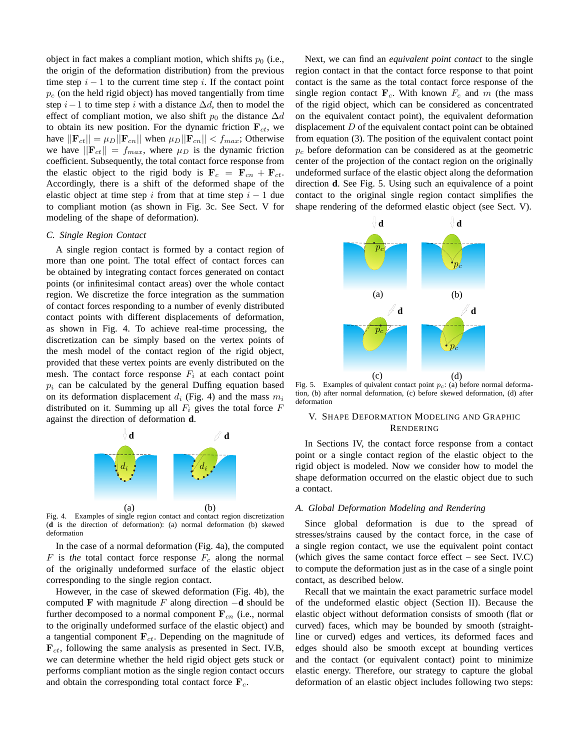object in fact makes a compliant motion, which shifts  $p_0$  (i.e., the origin of the deformation distribution) from the previous time step  $i - 1$  to the current time step i. If the contact point  $p_c$  (on the held rigid object) has moved tangentially from time step  $i-1$  to time step i with a distance  $\Delta d$ , then to model the effect of compliant motion, we also shift  $p_0$  the distance  $\Delta d$ to obtain its new position. For the dynamic friction  $\mathbf{F}_{ct}$ , we have  $||\mathbf{F}_{ct}|| = \mu_D||\mathbf{F}_{cn}||$  when  $\mu_D||\mathbf{F}_{cn}|| < f_{max}$ ; Otherwise we have  $||\mathbf{F}_{ct}|| = f_{max}$ , where  $\mu_D$  is the dynamic friction coefficient. Subsequently, the total contact force response from the elastic object to the rigid body is  $\mathbf{F}_c = \mathbf{F}_{cn} + \mathbf{F}_{ct}$ . Accordingly, there is a shift of the deformed shape of the elastic object at time step i from that at time step  $i - 1$  due to compliant motion (as shown in Fig. 3c. See Sect. V for modeling of the shape of deformation).

## *C. Single Region Contact*

A single region contact is formed by a contact region of more than one point. The total effect of contact forces can be obtained by integrating contact forces generated on contact points (or infinitesimal contact areas) over the whole contact region. We discretize the force integration as the summation of contact forces responding to a number of evenly distributed contact points with different displacements of deformation, as shown in Fig. 4. To achieve real-time processing, the discretization can be simply based on the vertex points of the mesh model of the contact region of the rigid object, provided that these vertex points are evenly distributed on the mesh. The contact force response  $F_i$  at each contact point  $p_i$  can be calculated by the general Duffing equation based on its deformation displacement  $d_i$  (Fig. 4) and the mass  $m_i$ distributed on it. Summing up all  $F_i$  gives the total force  $F$ against the direction of deformation **d**.



Fig. 4. Examples of single region contact and contact region discretization (**d** is the direction of deformation): (a) normal deformation (b) skewed deformation

In the case of a normal deformation (Fig. 4a), the computed  $F$  is *the* total contact force response  $F_c$  along the normal of the originally undeformed surface of the elastic object corresponding to the single region contact.

However, in the case of skewed deformation (Fig. 4b), the computed F with magnitude F along direction −**d** should be further decomposed to a normal component  $F_{cn}$  (i.e., normal to the originally undeformed surface of the elastic object) and a tangential component  $\mathbf{F}_{ct}$ . Depending on the magnitude of  $\mathbf{F}_{ct}$ , following the same analysis as presented in Sect. IV.B, we can determine whether the held rigid object gets stuck or performs compliant motion as the single region contact occurs and obtain the corresponding total contact force  $\mathbf{F}_c$ .

Next, we can find an *equivalent point contact* to the single region contact in that the contact force response to that point contact is the same as the total contact force response of the single region contact  $\mathbf{F}_c$ . With known  $F_c$  and m (the mass of the rigid object, which can be considered as concentrated on the equivalent contact point), the equivalent deformation displacement  $D$  of the equivalent contact point can be obtained from equation (3). The position of the equivalent contact point  $p_c$  before deformation can be considered as at the geometric center of the projection of the contact region on the originally undeformed surface of the elastic object along the deformation direction **d**. See Fig. 5. Using such an equivalence of a point contact to the original single region contact simplifies the shape rendering of the deformed elastic object (see Sect. V).



Fig. 5. Examples of quivalent contact point  $p_c$ : (a) before normal deformation, (b) after normal deformation, (c) before skewed deformation, (d) after deformation

# V. SHAPE DEFORMATION MODELING AND GRAPHIC RENDERING

In Sections IV, the contact force response from a contact point or a single contact region of the elastic object to the rigid object is modeled. Now we consider how to model the shape deformation occurred on the elastic object due to such a contact.

## *A. Global Deformation Modeling and Rendering*

Since global deformation is due to the spread of stresses/strains caused by the contact force, in the case of a single region contact, we use the equivalent point contact (which gives the same contact force effect – see Sect. IV.C) to compute the deformation just as in the case of a single point contact, as described below.

Recall that we maintain the exact parametric surface model of the undeformed elastic object (Section II). Because the elastic object without deformation consists of smooth (flat or curved) faces, which may be bounded by smooth (straightline or curved) edges and vertices, its deformed faces and edges should also be smooth except at bounding vertices and the contact (or equivalent contact) point to minimize elastic energy. Therefore, our strategy to capture the global deformation of an elastic object includes following two steps: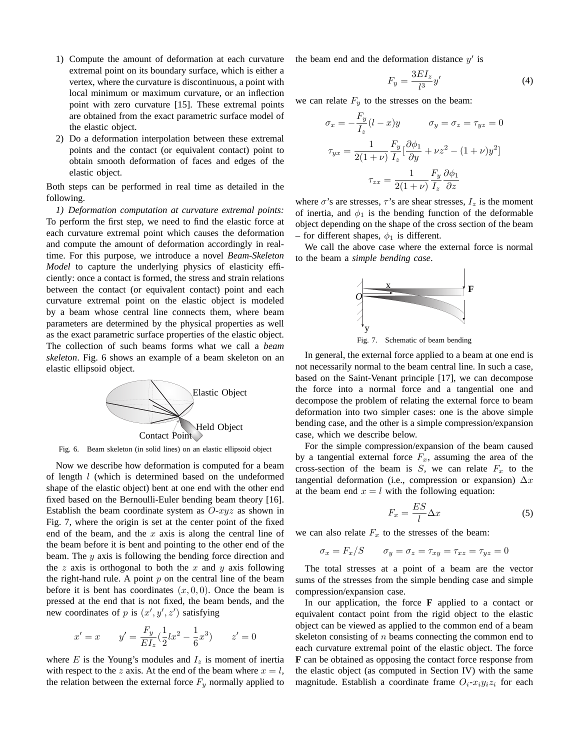- 1) Compute the amount of deformation at each curvature extremal point on its boundary surface, which is either a vertex, where the curvature is discontinuous, a point with local minimum or maximum curvature, or an inflection point with zero curvature [15]. These extremal points are obtained from the exact parametric surface model of the elastic object.
- 2) Do a deformation interpolation between these extremal points and the contact (or equivalent contact) point to obtain smooth deformation of faces and edges of the elastic object.

Both steps can be performed in real time as detailed in the following.

*1) Deformation computation at curvature extremal points:* To perform the first step, we need to find the elastic force at each curvature extremal point which causes the deformation and compute the amount of deformation accordingly in realtime. For this purpose, we introduce a novel *Beam-Skeleton Model* to capture the underlying physics of elasticity efficiently: once a contact is formed, the stress and strain relations between the contact (or equivalent contact) point and each curvature extremal point on the elastic object is modeled by a beam whose central line connects them, where beam parameters are determined by the physical properties as well as the exact parametric surface properties of the elastic object. The collection of such beams forms what we call a *beam skeleton*. Fig. 6 shows an example of a beam skeleton on an elastic ellipsoid object.



Fig. 6. Beam skeleton (in solid lines) on an elastic ellipsoid object

Now we describe how deformation is computed for a beam of length l (which is determined based on the undeformed shape of the elastic object) bent at one end with the other end fixed based on the Bernoulli-Euler bending beam theory [16]. Establish the beam coordinate system as  $O-xyz$  as shown in Fig. 7, where the origin is set at the center point of the fixed end of the beam, and the  $x$  axis is along the central line of the beam before it is bent and pointing to the other end of the beam. The  $y$  axis is following the bending force direction and the z axis is orthogonal to both the x and y axis following the right-hand rule. A point  $p$  on the central line of the beam before it is bent has coordinates  $(x, 0, 0)$ . Once the beam is pressed at the end that is not fixed, the beam bends, and the new coordinates of p is  $(x', y', z')$  satisfying

$$
x' = x \qquad y' = \frac{F_y}{EI_z}(\frac{1}{2}lx^2 - \frac{1}{6}x^3) \qquad z' = 0
$$

where  $E$  is the Young's modules and  $I_z$  is moment of inertia with respect to the z axis. At the end of the beam where  $x = l$ , the relation between the external force  $F_y$  normally applied to the beam end and the deformation distance  $y'$  is

$$
F_y = \frac{3EI_z}{l^3}y' \tag{4}
$$

we can relate  $F_y$  to the stresses on the beam:

$$
\sigma_x = -\frac{F_y}{I_z}(l - x)y \qquad \sigma_y = \sigma_z = \tau_{yz} = 0
$$

$$
\tau_{yx} = \frac{1}{2(1+\nu)}\frac{F_y}{I_z}[\frac{\partial\phi_1}{\partial y} + \nu z^2 - (1+\nu)y^2]
$$

$$
\tau_{zx} = \frac{1}{2(1+\nu)}\frac{F_y}{I_z}\frac{\partial\phi_1}{\partial z}
$$

where  $\sigma$ 's are stresses,  $\tau$ 's are shear stresses,  $I_z$  is the moment of inertia, and  $\phi_1$  is the bending function of the deformable object depending on the shape of the cross section of the beam – for different shapes,  $\phi_1$  is different.

We call the above case where the external force is normal to the beam a *simple bending case*.



Fig. 7. Schematic of beam bending

In general, the external force applied to a beam at one end is not necessarily normal to the beam central line. In such a case, based on the Saint-Venant principle [17], we can decompose the force into a normal force and a tangential one and decompose the problem of relating the external force to beam deformation into two simpler cases: one is the above simple bending case, and the other is a simple compression/expansion case, which we describe below.

For the simple compression/expansion of the beam caused by a tangential external force  $F_x$ , assuming the area of the cross-section of the beam is  $S$ , we can relate  $F_x$  to the tangential deformation (i.e., compression or expansion)  $\Delta x$ at the beam end  $x = l$  with the following equation:

$$
F_x = \frac{ES}{l} \Delta x \tag{5}
$$

we can also relate  $F_x$  to the stresses of the beam:

 $\sigma_x = F_x/S$   $\sigma_y = \sigma_z = \tau_{xy} = \tau_{xz} = \tau_{yz} = 0$ 

The total stresses at a point of a beam are the vector sums of the stresses from the simple bending case and simple compression/expansion case.

In our application, the force **F** applied to a contact or equivalent contact point from the rigid object to the elastic object can be viewed as applied to the common end of a beam skeleton consisting of  $n$  beams connecting the common end to each curvature extremal point of the elastic object. The force **F** can be obtained as opposing the contact force response from the elastic object (as computed in Section IV) with the same magnitude. Establish a coordinate frame  $O_i$ - $x_iy_iz_i$  for each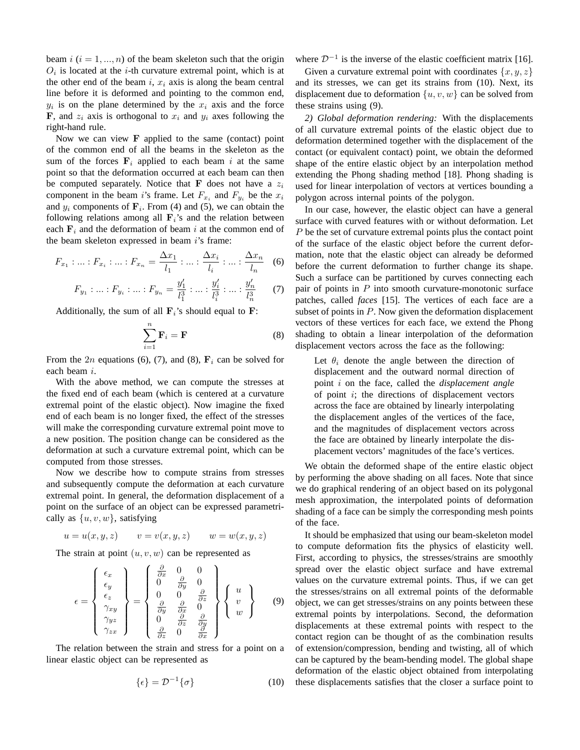beam  $i$  ( $i = 1, ..., n$ ) of the beam skeleton such that the origin  $O_i$  is located at the *i*-th curvature extremal point, which is at the other end of the beam i,  $x_i$  axis is along the beam central line before it is deformed and pointing to the common end,  $y_i$  is on the plane determined by the  $x_i$  axis and the force **F**, and  $z_i$  axis is orthogonal to  $x_i$  and  $y_i$  axes following the right-hand rule.

Now we can view  $\bf{F}$  applied to the same (contact) point of the common end of all the beams in the skeleton as the sum of the forces  $F_i$  applied to each beam i at the same point so that the deformation occurred at each beam can then be computed separately. Notice that F does not have a  $z_i$ component in the beam *i*'s frame. Let  $F_{x_i}$  and  $F_{y_i}$  be the  $x_i$ and  $y_i$  components of  $\mathbf{F}_i$ . From (4) and (5), we can obtain the following relations among all  $\mathbf{F}_i$ 's and the relation between each  $F_i$  and the deformation of beam i at the common end of the beam skeleton expressed in beam i's frame:

$$
F_{x_1} : \dots : F_{x_i} : \dots : F_{x_n} = \frac{\Delta x_1}{l_1} : \dots : \frac{\Delta x_i}{l_i} : \dots : \frac{\Delta x_n}{l_n} \quad (6)
$$

$$
F_{y_1} : \ldots : F_{y_i} : \ldots : F_{y_n} = \frac{y'_1}{l_1^3} : \ldots : \frac{y'_i}{l_i^3} : \ldots : \frac{y'_n}{l_n^3} \qquad (7)
$$

Additionally, the sum of all  $\mathbf{F}_i$ 's should equal to  $\mathbf{F}$ :

$$
\sum_{i=1}^{n} \mathbf{F}_{i} = \mathbf{F} \tag{8}
$$

From the 2n equations (6), (7), and (8),  $\mathbf{F}_i$  can be solved for each beam i.

With the above method, we can compute the stresses at the fixed end of each beam (which is centered at a curvature extremal point of the elastic object). Now imagine the fixed end of each beam is no longer fixed, the effect of the stresses will make the corresponding curvature extremal point move to a new position. The position change can be considered as the deformation at such a curvature extremal point, which can be computed from those stresses.

Now we describe how to compute strains from stresses and subsequently compute the deformation at each curvature extremal point. In general, the deformation displacement of a point on the surface of an object can be expressed parametrically as  $\{u, v, w\}$ , satisfying

$$
u = u(x, y, z) \qquad v = v(x, y, z) \qquad w = w(x, y, z)
$$

The strain at point  $(u, v, w)$  can be represented as

$$
\epsilon = \begin{Bmatrix} \epsilon_x \\ \epsilon_y \\ \epsilon_z \\ \gamma_{xy} \\ \gamma_{yz} \\ \gamma_{zx} \end{Bmatrix} = \begin{Bmatrix} \frac{\partial}{\partial x} & 0 & 0 \\ 0 & \frac{\partial}{\partial y} & 0 \\ 0 & 0 & \frac{\partial}{\partial z} \\ \frac{\partial}{\partial y} & \frac{\partial}{\partial x} & 0 \\ 0 & \frac{\partial}{\partial z} & \frac{\partial}{\partial y} \\ \frac{\partial}{\partial z} & 0 & \frac{\partial}{\partial x} \end{Bmatrix} \begin{Bmatrix} u \\ v \\ w \end{Bmatrix} \qquad (9)
$$

The relation between the strain and stress for a point on a linear elastic object can be represented as

$$
\{\epsilon\} = \mathcal{D}^{-1}\{\sigma\} \tag{10}
$$

where  $\mathcal{D}^{-1}$  is the inverse of the elastic coefficient matrix [16].

Given a curvature extremal point with coordinates  $\{x,y,z\}$ and its stresses, we can get its strains from (10). Next, its displacement due to deformation  $\{u, v, w\}$  can be solved from these strains using (9).

*2) Global deformation rendering:* With the displacements of all curvature extremal points of the elastic object due to deformation determined together with the displacement of the contact (or equivalent contact) point, we obtain the deformed shape of the entire elastic object by an interpolation method extending the Phong shading method [18]. Phong shading is used for linear interpolation of vectors at vertices bounding a polygon across internal points of the polygon.

In our case, however, the elastic object can have a general surface with curved features with or without deformation. Let P be the set of curvature extremal points plus the contact point of the surface of the elastic object before the current deformation, note that the elastic object can already be deformed before the current deformation to further change its shape. Such a surface can be partitioned by curves connecting each pair of points in  $P$  into smooth curvature-monotonic surface patches, called *faces* [15]. The vertices of each face are a subset of points in  $P$ . Now given the deformation displacement vectors of these vertices for each face, we extend the Phong shading to obtain a linear interpolation of the deformation displacement vectors across the face as the following:

Let  $\theta_i$  denote the angle between the direction of displacement and the outward normal direction of point i on the face, called the *displacement angle* of point  $i$ ; the directions of displacement vectors across the face are obtained by linearly interpolating the displacement angles of the vertices of the face, and the magnitudes of displacement vectors across the face are obtained by linearly interpolate the displacement vectors' magnitudes of the face's vertices.

We obtain the deformed shape of the entire elastic object by performing the above shading on all faces. Note that since we do graphical rendering of an object based on its polygonal mesh approximation, the interpolated points of deformation shading of a face can be simply the corresponding mesh points of the face.

It should be emphasized that using our beam-skeleton model to compute deformation fits the physics of elasticity well. First, according to physics, the stresses/strains are smoothly spread over the elastic object surface and have extremal values on the curvature extremal points. Thus, if we can get the stresses/strains on all extremal points of the deformable object, we can get stresses/strains on any points between these extremal points by interpolations. Second, the deformation displacements at these extremal points with respect to the contact region can be thought of as the combination results of extension/compression, bending and twisting, all of which can be captured by the beam-bending model. The global shape deformation of the elastic object obtained from interpolating these displacements satisfies that the closer a surface point to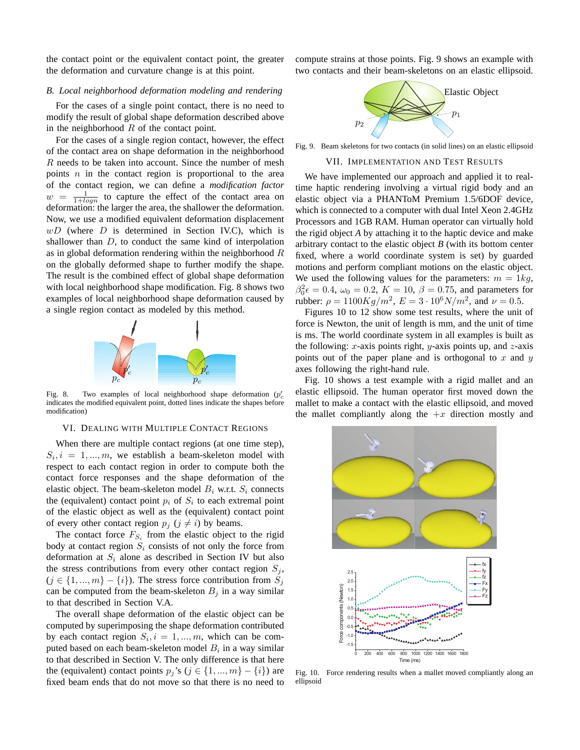the contact point or the equivalent contact point, the greater the deformation and curvature change is at this point.

## *B. Local neighborhood deformation modeling and rendering*

For the cases of a single point contact, there is no need to modify the result of global shape deformation described above in the neighborhood  $R$  of the contact point.

For the cases of a single region contact, however, the effect of the contact area on shape deformation in the neighborhood  $R$  needs to be taken into account. Since the number of mesh points  $n$  in the contact region is proportional to the area of the contact region, we can define a *modification factor*  $w =$  $\frac{1}{1 + log n}$  to capture the effect of the contact area on deformation: the larger the area, the shallower the deformation. Now, we use a modified equivalent deformation displacement  $wD$  (where  $D$  is determined in Section IV.C), which is shallower than D, to conduct the same kind of interpolation as in global deformation rendering within the neighborhood  $R$ on the globally deformed shape to further modify the shape. The result is the combined effect of global shape deformation with local neighborhood shape modification. Fig. 8 shows two examples of local neighborhood shape deformation caused by a single region contact as modeled by this method.



Fig. 8. Two examples of local neighborhood shape deformation  $(p'_c)$ indicates the modified equivalent point, dotted lines indicate the shapes before modification)

## VI. DEALING WITH MULTIPLE CONTACT REGIONS

When there are multiple contact regions (at one time step),  $S_i$ ,  $i = 1, ..., m$ , we establish a beam-skeleton model with respect to each contact region in order to compute both the contact force responses and the shape deformation of the elastic object. The beam-skeleton model  $B_i$  w.r.t.  $S_i$  connects the (equivalent) contact point  $p_i$  of  $S_i$  to each extremal point of the elastic object as well as the (equivalent) contact point of every other contact region  $p_j$   $(j \neq i)$  by beams.

The contact force  $F_{S_i}$  from the elastic object to the rigid body at contact region  $S_i$  consists of not only the force from deformation at  $S_i$  alone as described in Section IV but also the stress contributions from every other contact region  $S_i$ ,  $(j \in \{1, ..., m\} - \{i\})$ . The stress force contribution from  $S_j$ can be computed from the beam-skeleton  $B_i$  in a way similar to that described in Section V.A.

The overall shape deformation of the elastic object can be computed by superimposing the shape deformation contributed by each contact region  $S_i$ ,  $i = 1, ..., m$ , which can be computed based on each beam-skeleton model  $B_i$  in a way similar to that described in Section V. The only difference is that here the (equivalent) contact points  $p_j$ 's ( $j \in \{1, ..., m\} - \{i\}$ ) are fixed beam ends that do not move so that there is no need to compute strains at those points. Fig. 9 shows an example with two contacts and their beam-skeletons on an elastic ellipsoid.



Fig. 9. Beam skeletons for two contacts (in solid lines) on an elastic ellipsoid

#### VII. IMPLEMENTATION AND TEST RESULTS

We have implemented our approach and applied it to realtime haptic rendering involving a virtual rigid body and an elastic object via a PHANToM Premium 1.5/6DOF device, which is connected to a computer with dual Intel Xeon 2.4GHz Processors and 1GB RAM. Human operator can virtually hold the rigid object *A* by attaching it to the haptic device and make arbitrary contact to the elastic object *B* (with its bottom center fixed, where a world coordinate system is set) by guarded motions and perform compliant motions on the elastic object. We used the following values for the parameters:  $m = 1kg$ ,  $\beta_0^2 \epsilon = 0.4, \ \omega_0 = 0.2, \ K = 10, \ \beta = 0.75, \text{ and parameters for}$ rubber:  $\rho = 1100Kg/m^2$ ,  $E = 3 \cdot 10^6 N/m^2$ , and  $\nu = 0.5$ .

Figures 10 to 12 show some test results, where the unit of force is Newton, the unit of length is mm, and the unit of time is ms. The world coordinate system in all examples is built as the following: x-axis points right, y-axis points up, and  $z$ -axis points out of the paper plane and is orthogonal to  $x$  and  $y$ axes following the right-hand rule.

Fig. 10 shows a test example with a rigid mallet and an elastic ellipsoid. The human operator first moved down the mallet to make a contact with the elastic ellipsoid, and moved the mallet compliantly along the  $+x$  direction mostly and



Fig. 10. Force rendering results when a mallet moved compliantly along an ellipsoid